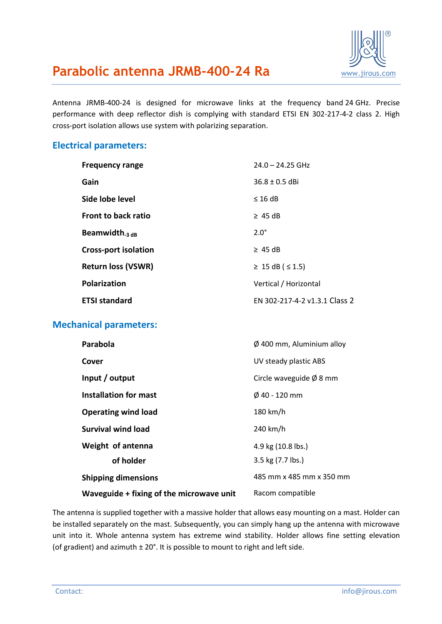

# **Parabolic antenna JRMB-400-24 Ra** WWW.jirous.com

Antenna JRMB-400-24 is designed for microwave links at the frequency band 24 GHz. Precise performance with deep reflector dish is complying with standard ETSI EN 302-217-4-2 class 2. High cross-port isolation allows use system with polarizing separation.

#### **Electrical parameters:**

| <b>Frequency range</b>      | $24.0 - 24.25$ GHz            |
|-----------------------------|-------------------------------|
| Gain                        | $36.8 \pm 0.5$ dBi            |
| Side lobe level             | $\leq$ 16 dB                  |
| Front to back ratio         | $\geq$ 45 dB                  |
| Beamwidth $_3$ dB           | $2.0^\circ$                   |
| <b>Cross-port isolation</b> | $\geq$ 45 dB                  |
| <b>Return loss (VSWR)</b>   | ≥ 15 dB (≤ 1.5)               |
| <b>Polarization</b>         | Vertical / Horizontal         |
| <b>ETSI standard</b>        | EN 302-217-4-2 v1.3.1 Class 2 |

## **Mechanical parameters:**

| Parabola                                 | $\varnothing$ 400 mm, Aluminium alloy |
|------------------------------------------|---------------------------------------|
| Cover                                    | UV steady plastic ABS                 |
| Input / output                           | Circle waveguide $\emptyset$ 8 mm     |
| Installation for mast                    | $\emptyset$ 40 - 120 mm               |
| <b>Operating wind load</b>               | 180 km/h                              |
| Survival wind load                       | 240 km/h                              |
| Weight of antenna                        | 4.9 kg (10.8 lbs.)                    |
| of holder                                | 3.5 kg (7.7 lbs.)                     |
| <b>Shipping dimensions</b>               | 485 mm x 485 mm x 350 mm              |
| Waveguide + fixing of the microwave unit | Racom compatible                      |

The antenna is supplied together with a massive holder that allows easy mounting on a mast. Holder can be installed separately on the mast. Subsequently, you can simply hang up the antenna with microwave unit into it. Whole antenna system has extreme wind stability. Holder allows fine setting elevation (of gradient) and azimuth  $\pm 20^{\circ}$ . It is possible to mount to right and left side.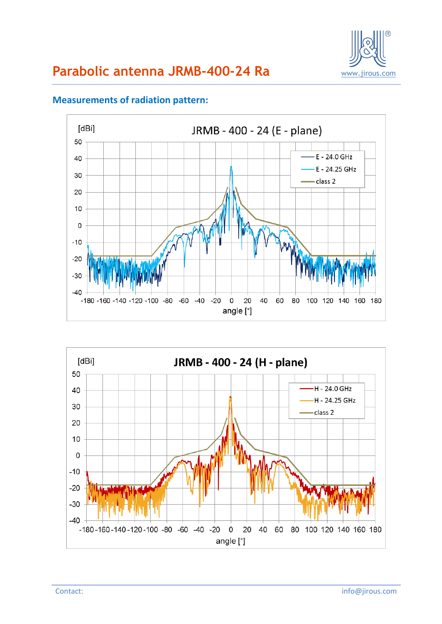



### **Measurements of radiation pattern:**